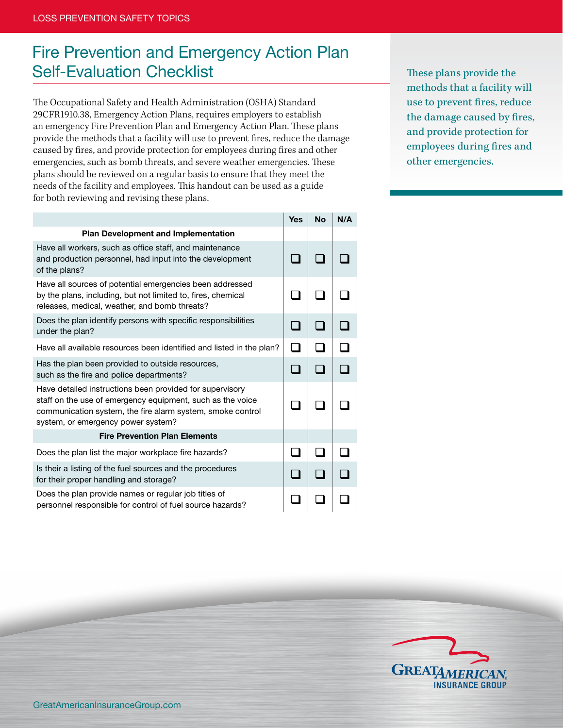## Fire Prevention and Emergency Action Plan Self-Evaluation Checklist

The Occupational Safety and Health Administration (OSHA) Standard 29CFR1910.38, Emergency Action Plans, requires employers to establish an emergency Fire Prevention Plan and Emergency Action Plan. These plans provide the methods that a facility will use to prevent fires, reduce the damage caused by fires, and provide protection for employees during fires and other emergencies, such as bomb threats, and severe weather emergencies. These plans should be reviewed on a regular basis to ensure that they meet the needs of the facility and employees. This handout can be used as a guide for both reviewing and revising these plans.

|                                                                                                                                                                                                                            | <b>Yes</b> | <b>No</b> | N/A |
|----------------------------------------------------------------------------------------------------------------------------------------------------------------------------------------------------------------------------|------------|-----------|-----|
| <b>Plan Development and Implementation</b>                                                                                                                                                                                 |            |           |     |
| Have all workers, such as office staff, and maintenance<br>and production personnel, had input into the development<br>of the plans?                                                                                       |            |           |     |
| Have all sources of potential emergencies been addressed<br>by the plans, including, but not limited to, fires, chemical<br>releases, medical, weather, and bomb threats?                                                  |            |           |     |
| Does the plan identify persons with specific responsibilities<br>under the plan?                                                                                                                                           |            |           |     |
| Have all available resources been identified and listed in the plan?                                                                                                                                                       |            |           |     |
| Has the plan been provided to outside resources,<br>such as the fire and police departments?                                                                                                                               |            |           |     |
| Have detailed instructions been provided for supervisory<br>staff on the use of emergency equipment, such as the voice<br>communication system, the fire alarm system, smoke control<br>system, or emergency power system? |            |           |     |
| <b>Fire Prevention Plan Elements</b>                                                                                                                                                                                       |            |           |     |
| Does the plan list the major workplace fire hazards?                                                                                                                                                                       |            |           |     |
| Is their a listing of the fuel sources and the procedures<br>for their proper handling and storage?                                                                                                                        |            |           |     |
| Does the plan provide names or regular job titles of<br>personnel responsible for control of fuel source hazards?                                                                                                          |            |           |     |

These plans provide the methods that a facility will use to prevent fires, reduce the damage caused by fires, and provide protection for employees during fires and other emergencies.